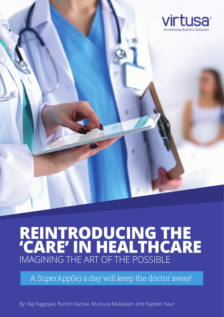

# **REINTRODUCING THE 'CARE' IN HEALTHCARE** IMAGINING THE ART OF THE POSSIBLE

A SuperApp(le) a day will keep the doctor away!

By: Raj Rajgopal, Ruchin Kansal, Murtuza Mukadam and Rajbeer Kaur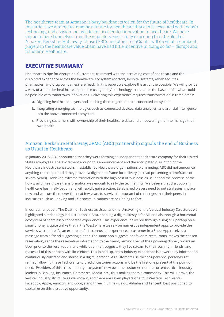The healthcare team at Amazon is busy building its vision for the future of healthcare. In this article, we attempt to imagine a future for healthcare that can be executed with today's technology, and a vision that will foster accelerated innovation in healthcare. We have unencumbered ourselves from the regulatory knot - fully expecting that the clout of Amazon, Berkshire Hathaway, Chase (ABC), and other TechGiants, will do what incumbent players in the healthcare value chain have had little incentive in doing so far – disrupt and transform Healthcare.

# **EXECUTIVE SUMMARY**

Healthcare is ripe for disruption. Customers, frustrated with the escalating cost of healthcare and the disjointed experience across the healthcare ecosystem (doctors, hospital systems, rehab facilities, pharmacies, and drug companies), are ready. In this paper, we explore the art of the possible. We will provide a view of a superior healthcare experience using today's technology that creates the baseline for what could be possible with tomorrow's innovations. Delivering this experience requires transformation in three areas:

- a. Digitizing healthcare players and stitching them together into a connected ecosystem
- b. Integrating emerging technologies such as connected devices, data analytics, and artificial intelligence into the above connected ecosystem
- c. Providing customers with ownership of their healthcare data and empowering them to manage their own health

# Amazon, Berkshire Hathaway, JPMC (ABC) partnership signals the end of Business as Usual in Healthcare

In January 2018, ABC announced that they were forming an independent healthcare company for their United States employees. The excitement around this announcement and the anticipated disruption of the Healthcare industry sent stocks in established Healthcare organizations plummeting. ABC did not announce anything concrete, nor did they provide a digital timeframe for delivery (instead presenting a timeframe of several years). However, extreme frustration with the high cost of 'business as usual' and the promise of the holy grail of healthcare transformation was enough to rally the tech faithful. We believe that disruption in healthcare has finally begun and will rapidly gain traction. Established players need to put strategies in place now and execute them over the next few years to survive the tsunami of challenges that their peers in industries such as Banking and Telecommunications are beginning to face.

In our earlier paper, 'The Death of Business as Usual and the Unraveling of the Vertical Industry Structure', we highlighted a technology led disruption in Asia, enabling a digital lifestyle for Millennials through a horizontal ecosystem of seamlessly connected experiences. This experience, delivered through a single SuperApp on a smartphone, is quite unlike that in the West where we rely on numerous independent apps to provide the services we require. As an example of this connected experience, a customer in a SuperApp receives a message from a friend suggesting dinner. The same app suggests her favorite restaurants, makes the chosen reservation, sends the reservation information to the friend, reminds her of the upcoming dinner, orders an Uber prior to the reservation, and while at dinner, suggests they live stream to their common friends, and makes all of this happen with little effort. This joined-up, cross-industry experience is powered by information continuously collected and stored in a digital persona. As customers use these SuperApps, personas get refined, allowing these TechGiants to predict customer actions and be the first one present at the point of need. Providers of this cross industry ecosystem<sup>1</sup> now own the customer, not the current vertical industry leaders in Banking, Insurance, Commerce, Media, etc., thus making them a commodity. This will unravel the vertical industry structure as we know it, and there are seven players (the four Western TechGiants - Facebook, Apple, Amazon, and Google and three in China - Baidu, Alibaba and Tencent) best positioned to capitalize on this disruptive opportunity.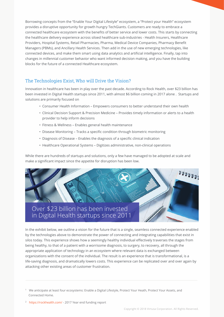Borrowing concepts from the "Enable Your Digital Lifestyle" ecosystem, a "Protect your Health" ecosystem provides a disruptive opportunity for growth hungry TechGiants. Customers are ready to embrace a connected healthcare ecosystem with the benefits of better service and lower costs. This starts by connecting the healthcare delivery experience across siloed healthcare sub-industries - Health Insurers, Healthcare Providers, Hospital Systems, Retail Pharmacies, Pharma, Medical Device Companies, Pharmacy Benefit Managers (PBMs), and Ancillary Health Services. Then add in the use of new emerging technologies, like connected devices, and make them smart using data analytics and artificial intelligence. Finally, tap into changes in millennial customer behavior who want informed decision making, and you have the building blocks for the future of a connected Healthcare ecosystem.

# The Technologies Exist, Who will Drive the Vision?

Innovation in healthcare has been in play over the past decade. According to Rock Health, over \$23 billion has been invested in Digital Health startups since 2011, with almost \$6 billion coming in 2017 alone . Startups and solutions are primarily focused on

- Consumer Health Information Empowers consumers to better understand their own health
- Clinical Decision Support & Precision Medicine Provides timely information or alerts to a health provider to help inform decisions
- Fitness & Wellness Enables general health maintenance
- Disease Monitoring Tracks a specific condition through biometric monitoring
- Diagnosis of Disease Enables the diagnosis of a specific clinical indication
- Healthcare Operational Systems Digitizes administrative, non-clinical operations

While there are hundreds of startups and solutions, only a few have managed to be adopted at scale and make a significant impact since the appetite for disruption has been low.



In the exhibit below, we outline a vision for the future that is a single, seamless connected experience enabled by the technologies above to demonstrate the power of connecting and integrating capabilities that exist in silos today. This experience shows how a seemingly healthy individual effectively traverses the stages from being healthy, to that of a patient with a worrisome diagnosis, to surgery, to recovery, all through the appropriate application of technology in an ecosystem where relevant data is exchanged between organizations with the consent of the individual. The result is an experience that is transformational, is a life-saving diagnosis, and dramatically lowers costs. This experience can be replicated over and over again by attacking other existing areas of customer frustration.

<sup>2</sup> https://rockhealth.com/ - 2017 Year end funding report

<sup>&</sup>lt;sup>1</sup> We anticipate at least four ecosystems: Enable a Digital Lifestyle, Protect Your Heath, Protect Your Assets, and Connected Home.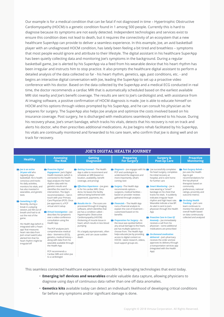Our example is for a medical condition that can be fatal if not diagnosed in time – Hypertrophic Obstructive Cardiomyopathy (HOCM) is a genetic condition found in 1 among 500 people. Currently this is hard to diagnose because its symptoms are not easily detected. Independent technologies and services exist to ensure this condition does not lead to death, but it requires the connectivity of an ecosystem that a new healthcare SuperApp can provide to deliver a seamless experience. In this example, Joe, an avid basketball player with an undiagnosed HOCM condition, has lately been feeling a bit tired and breathless – symptoms that most people would ignore and attribute to their lifestyle. The digital assistant in his healthcare SuperApp has been quietly collecting data and monitoring Joe's symptoms in the background. During a regular basketball game, Joe is alerted by his SuperApp via a feed from his wearable device that his heart rhythm has been irregular and instructs him to stop practice. It also prompts the healthcare digital assistant to perform a detailed analysis of the data collected so far - his heart rhythm, genetics, age, past conditions, etc. - and begins an interactive digital conversation with Joe, leading the SuperApp to set up a proactive video conference with his doctor. Based on the data collected by the SuperApp and a medical ECG conducted in real time, the doctor recommends a cardiac MRI that is automatically scheduled based on the earliest available MRI slot nearby and Joe's benefit coverage. The results are sent to Joe's cardiologist and, with assistance from AI imaging software, a positive confirmation of HOCM diagnosis is made. Joe is able to educate himself on HOCM and his options through videos prompted by his SuperApp, and he can consult his physician as he prepares for surgery. The SuperApp also helps Joe analyze and optimize the costs involved based on his insurance coverage. Post surgery, he is discharged with medications seamlessly delivered to his house. During his recovery phase, Joe's smart bandage, which tracks his vitals, detects that his recovery is not on track and alerts his doctor, who then prescribes additional medications. As Joe begins rehab facilitated by his SuperApp, his vitals are continually monitored and forwarded to his care team, who confirm that Joe is doing well and on track for recovery.

| <b>JOE'S DIGITAL HEALTH JOURNEY</b>                                                                                                                                                                                                                                                                                                                                                                                                                                                                                                                                                               |                                                                                                                                                                                                                                                                                                                                                                                                                                                                                                                                                                                                                                                                                                                                                                                                |                                                                                                                                                                                                                                                                                                                                                                                                                                                                                                                                                                                                                                                                                             |                                                                                                                                                                                                                                                                                                                                                                                                                                                                                                                                                                                                                                                                                                                                                          |                                                                                                                                                                                                                                                                                                                                                                                                                                                                                                                                                                                                                                                                                                                                                                                                         |                                                                                                                                                                                                                                                                                                                                                                                                  |
|---------------------------------------------------------------------------------------------------------------------------------------------------------------------------------------------------------------------------------------------------------------------------------------------------------------------------------------------------------------------------------------------------------------------------------------------------------------------------------------------------------------------------------------------------------------------------------------------------|------------------------------------------------------------------------------------------------------------------------------------------------------------------------------------------------------------------------------------------------------------------------------------------------------------------------------------------------------------------------------------------------------------------------------------------------------------------------------------------------------------------------------------------------------------------------------------------------------------------------------------------------------------------------------------------------------------------------------------------------------------------------------------------------|---------------------------------------------------------------------------------------------------------------------------------------------------------------------------------------------------------------------------------------------------------------------------------------------------------------------------------------------------------------------------------------------------------------------------------------------------------------------------------------------------------------------------------------------------------------------------------------------------------------------------------------------------------------------------------------------|----------------------------------------------------------------------------------------------------------------------------------------------------------------------------------------------------------------------------------------------------------------------------------------------------------------------------------------------------------------------------------------------------------------------------------------------------------------------------------------------------------------------------------------------------------------------------------------------------------------------------------------------------------------------------------------------------------------------------------------------------------|---------------------------------------------------------------------------------------------------------------------------------------------------------------------------------------------------------------------------------------------------------------------------------------------------------------------------------------------------------------------------------------------------------------------------------------------------------------------------------------------------------------------------------------------------------------------------------------------------------------------------------------------------------------------------------------------------------------------------------------------------------------------------------------------------------|--------------------------------------------------------------------------------------------------------------------------------------------------------------------------------------------------------------------------------------------------------------------------------------------------------------------------------------------------------------------------------------------------|
| <b>Healthy</b>                                                                                                                                                                                                                                                                                                                                                                                                                                                                                                                                                                                    | <b>Assessing</b><br><b>The Risk</b>                                                                                                                                                                                                                                                                                                                                                                                                                                                                                                                                                                                                                                                                                                                                                            | <b>Getting</b><br><b>Diagnosed</b>                                                                                                                                                                                                                                                                                                                                                                                                                                                                                                                                                                                                                                                          | <b>Preparing</b><br><b>For Surgery</b>                                                                                                                                                                                                                                                                                                                                                                                                                                                                                                                                                                                                                                                                                                                   | <b>Surgery &amp;</b><br><b>Post-op Care</b>                                                                                                                                                                                                                                                                                                                                                                                                                                                                                                                                                                                                                                                                                                                                                             | <b>Proactive</b><br><b>Monitoring</b>                                                                                                                                                                                                                                                                                                                                                            |
| $\rightarrow$ loe is an active<br>24-year-old who<br>regularly plays<br>basketball. He is health<br>conscious and tracks<br>his daily activities,<br>monitors his vitals, and<br>has also invested in<br>wearables, and genetic<br>tests<br>Something Is Off-<br>Recently, during a<br>break in a playing<br>session, Joe felt out of<br>breath and had to sit<br>out the rest of the<br>game.<br>His Health App (which is<br>integrated with a 'heart<br>app' that measures<br>heart rate data from<br>loe's smart watch) also<br>alerted him that his<br>heart rhythm might be<br>irregular/off | <b>Proactive Digital</b><br><b>Engagement</b> Joe's Digital<br>Health Assistant, (which is<br>connected to the Health<br>App) analyzes the heart<br>rhythm data with his<br>genetics results and<br>identifies the need for an<br>intervention. The App's<br>recommendation - Get in<br>touch with your Primary<br>Care Physician (PCP). Once<br>loe approves it, a PCP<br>virtual visit it setup<br>Virtual Investigation - Joe<br>describes his symptoms<br>over a video-conference<br>consultation using the<br>Health App<br>The PCP analyzes Joe's<br>comprehensive medical<br>data - biometrics (ECG),<br>genetics, medical history -<br>along with data from his<br>wearable available through<br>the Health App<br>PCP recommends a<br>Cardiac MRI and refers Joe<br>to a cardiologist | Getting Scanned - The Health<br>App is able to recommend and<br>schedule an MRI (based on<br>location, availability, benefit<br>coverage, and pricing)<br>Effortless Experience - loe goes<br>in for his cardiac MRI. Once<br>done, he leaves the facility<br>without being bothered with<br>paperwork, payments, etc.<br><b>Results Are In - The scans are</b><br>processed through AI imaging<br>software, which identifies that<br>Joe has a condition called -<br>Hypertrophic Obstructive<br>Cardiomyopathy (HOCM):<br>thickening of muscle tissue in<br>heart, which results in less blood<br>pumping<br>It's a largely asymptomatic, often<br>genetic, and can cause sudden<br>death | <b>Diagnosis</b> - Joe engages with his<br>PCP and cardiologist to<br>understand the diagnosis and<br>more importantly, what's<br>coming next<br><b>Surgery</b> - The Health App<br>recommends options -<br>surgeons, medical facilities -<br>based on provider reviews<br>gathered through analytics<br>Financials - The Health App<br>runs a financial analysis to<br>explain the cost of treatment -<br>customized based on his<br>benefits<br><b>Preparation For Surgery - As</b><br>the issue was spotted before<br>any actual damage to the heart,<br>Joe has multiple options to<br>choose from. The Health App<br>helps educate Joe by providing<br>access to digital content on<br>HOCM - latest research, videos,<br>local support groups etc. | Joe successfully completes<br>his heart surgery, completes<br>his initial recovery at<br>hospital, and is sent home<br>for further care<br><b>Smart Monitoring - loe is</b><br>now wearing a "smart"<br>bandage on his chest that<br>tracks his vitals. It suddenly<br>indicates irregular heart<br>rhythm and high heart rate.<br>Wearable indicate a low BP.<br>An alert is sent to loe's<br>physician through the Health<br>App<br><b>Proactive Care In Case Of</b><br><b>Anomaly - loe immediately</b><br>receives a call from his<br>physician - some additional<br>medications are prescribed<br><b>On-Demand medication</b><br>delivered - Joe's pharmacy<br>receives the order and Joe<br>approves its delivery through<br>a transportation services app<br>(integrated with the Health<br>App) | <b>Post-Surgery Rehab-</b><br>Joe uses the Health<br>App to get<br>recommendations for<br>the top physical<br>therapists based on<br>community<br>preferences, national<br>ratings, proximity and<br>outcome metrics<br><b>On-Going Health</b><br>Tracking - Joe's care<br>team continues to<br>monitor his vitals and<br>overall health based<br>on data continuously<br>collected and analyzed |

This seamless connected healthcare experience is possible by leveraging technologies that exist today.

- **Emerging IoT devices and wearables** enable valuable data capture, allowing physicians to diagnose using days of continuous data rather than one off data anomalies.
- **Genetics kits** available today can detect an individual's likelihood of developing critical conditions far before any symptoms and/or significant damage is done.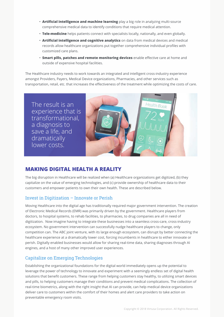- **Artificial intelligence and machine learning** play a big role in analyzing multi-source comprehensive medical data to identify conditions that require medical attention.
- **Tele-medicine** helps patients connect with specialists locally, nationally, and even globally.
- **Artificial intelligence and cognitive analytics** on data from medical devices and medical records allow healthcare organizations put together comprehensive individual profiles with customized care plans.
- **Smart pills, patches and remote monitoring devices** enable effective care at home and outside of expensive hospital facilities.

The Healthcare industry needs to work towards an integrated and intelligent cross-industry experience amongst Providers, Payers, Medical Device organizations, Pharmacies, and other services such as transportation, retail, etc. that increases the effectiveness of the treatment while optimizing the costs of care.

The result is an experience that is transformational, a diagnosis to save a life, and dramatically lower costs.



# **MAKING DIGITAL HEALTH A REALITY**

The big disruption in Healthcare will be realized when (a) Healthcare organizations get digitized, (b) they capitalize on the value of emerging technologies, and (c) provide ownership of healthcare data to their customers and empower patients to own their own health. These are described below.

### Invest in Digitization – Innovate or Perish

Moving Healthcare into the digital age has traditionally required major government intervention. The creation of Electronic Medical Records (EMR) was primarily driven by the government. Healthcare players from doctors, to hospital systems, to rehab facilities, to pharmacies, to drug companies are all in need of digitization. Now imagine having to integrate these businesses into a seamless cross-care, cross-industry ecosystem. No government intervention can successfully nudge healthcare players to change, only competition can. The ABC joint venture, with its large enough ecosystem, can disrupt by better connecting the healthcare experience at a dramatically lower cost, forcing incumbents in healthcare to either innovate or perish. Digitally enabled businesses would allow for sharing real-time data, sharing diagnoses through AI engines, and a host of many other improved user experiences.

### Capitalize on Emerging Technologies

Establishing the organizational foundations for the digital world immediately opens up the potential to leverage the power of technology to innovate and experiment with a seemingly endless set of digital health solutions that benefit customers. These range from helping customers stay healthy, to utilizing smart devices and pills, to helping customers manage their conditions and prevent medical complications. The collection of real-time biometrics, along with the right insight that AI can provide, can help medical device organizations deliver care to customers within the comfort of their homes and alert care providers to take action on preventable emergency room visits.